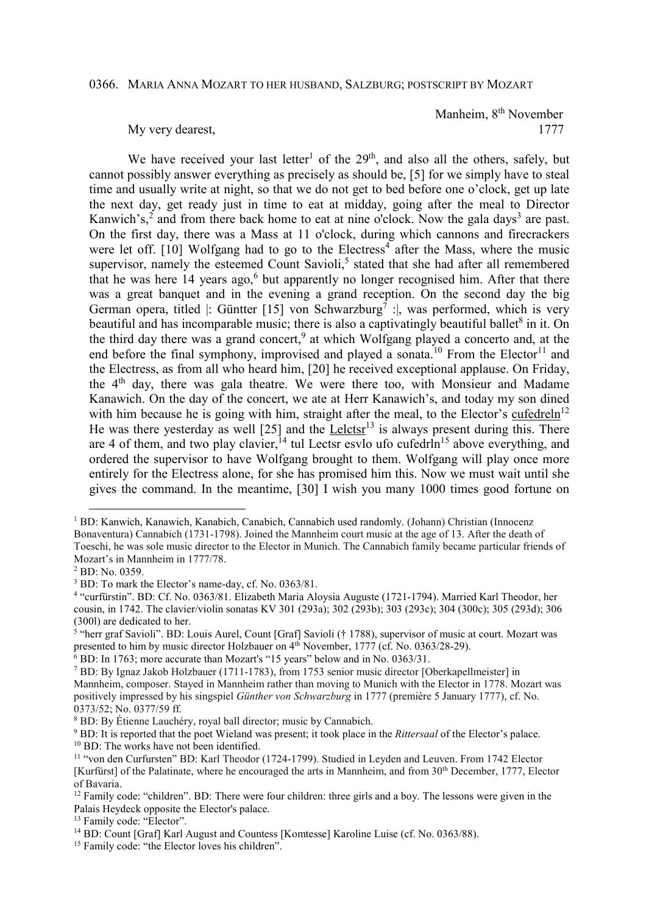## 0366. MARIA ANNA MOZART TO HER HUSBAND, SALZBURG; POSTSCRIPT BY MOZART

Manheim, 8<sup>th</sup> November My very dearest, 1777

We have received your last letter<sup>1</sup> of the  $29<sup>th</sup>$ , and also all the others, safely, but cannot possibly answer everything as precisely as should be, [5] for we simply have to steal time and usually write at night, so that we do not get to bed before one o'clock, get up late the next day, get ready just in time to eat at midday, going after the meal to Director Kanwich's,<sup>2</sup> and from there back home to eat at nine o'clock. Now the gala days<sup>3</sup> are past. On the first day, there was a Mass at 11 o'clock, during which cannons and firecrackers were let off. [10] Wolfgang had to go to the Electress<sup>4</sup> after the Mass, where the music supervisor, namely the esteemed Count Savioli,<sup>5</sup> stated that she had after all remembered that he was here 14 years ago, $6$  but apparently no longer recognised him. After that there was a great banquet and in the evening a grand reception. On the second day the big German opera, titled |: Güntter [15] von Schwarzburg<sup>7</sup> : |, was performed, which is very beautiful and has incomparable music; there is also a captivatingly beautiful ballet<sup>8</sup> in it. On the third day there was a grand concert,<sup>9</sup> at which Wolfgang played a concerto and, at the end before the final symphony, improvised and played a sonata.<sup>10</sup> From the Elector<sup>11</sup> and the Electress, as from all who heard him, [20] he received exceptional applause. On Friday, the  $4<sup>th</sup>$  day, there was gala theatre. We were there too, with Monsieur and Madame Kanawich. On the day of the concert, we ate at Herr Kanawich's, and today my son dined with him because he is going with him, straight after the meal, to the Elector's  $\frac{\text{cufed} \cdot \text{c} \cdot \text{cufed}}{n^{12}}$ He was there yesterday as well  $[25]$  and the Lelctsr<sup>13</sup> is always present during this. There are 4 of them, and two play clavier,  $^{14}$  tul Lectsr esvlo ufo cufedrln<sup>15</sup> above everything, and ordered the supervisor to have Wolfgang brought to them. Wolfgang will play once more entirely for the Electress alone, for she has promised him this. Now we must wait until she gives the command. In the meantime, [30] I wish you many 1000 times good fortune on

 $\overline{a}$ 

6 BD: In 1763; more accurate than Mozart's "15 years" below and in No. 0363/31.

9 BD: It is reported that the poet Wieland was present; it took place in the *Rittersaal* of the Elector's palace. <sup>10</sup> BD: The works have not been identified.

<sup>&</sup>lt;sup>1</sup> BD: Kanwich, Kanawich, Kanabich, Canabich, Cannabich used randomly. (Johann) Christian (Innocenz Bonaventura) Cannabich (1731-1798). Joined the Mannheim court music at the age of 13. After the death of Toeschi, he was sole music director to the Elector in Munich. The Cannabich family became particular friends of Mozart's in Mannheim in 1777/78.

<sup>2</sup> BD: No. 0359.

<sup>&</sup>lt;sup>3</sup> BD: To mark the Elector's name-day, cf. No. 0363/81.

<sup>4</sup> "curfürstin". BD: Cf. No. 0363/81. Elizabeth Maria Aloysia Auguste (1721-1794). Married Karl Theodor, her cousin, in 1742. The clavier/violin sonatas KV 301 (293a); 302 (293b); 303 (293c); 304 (300c); 305 (293d); 306 (300l) are dedicated to her.

<sup>&</sup>lt;sup>5</sup> "herr graf Savioli". BD: Louis Aurel, Count [Graf] Savioli († 1788), supervisor of music at court. Mozart was presented to him by music director Holzbauer on 4<sup>th</sup> November, 1777 (cf. No. 0363/28-29).

<sup>7</sup> BD: By Ignaz Jakob Holzbauer (1711-1783), from 1753 senior music director [Oberkapellmeister] in Mannheim, composer. Stayed in Mannheim rather than moving to Munich with the Elector in 1778. Mozart was positively impressed by his singspiel *Günther von Schwarzburg* in 1777 (première 5 January 1777), cf. No. 0373/52; No. 0377/59 ff.

<sup>8</sup> BD: By Étienne Lauchéry, royal ball director; music by Cannabich.

<sup>11</sup> "von den Curfursten" BD: Karl Theodor (1724-1799). Studied in Leyden and Leuven. From 1742 Elector [Kurfürst] of the Palatinate, where he encouraged the arts in Mannheim, and from 30th December, 1777, Elector of Bavaria.

<sup>&</sup>lt;sup>12</sup> Family code: "children". BD: There were four children: three girls and a boy. The lessons were given in the Palais Heydeck opposite the Elector's palace.

<sup>&</sup>lt;sup>13</sup> Family code: "Elector".

<sup>&</sup>lt;sup>14</sup> BD: Count [Graf] Karl August and Countess [Komtesse] Karoline Luise (cf. No. 0363/88).

<sup>&</sup>lt;sup>15</sup> Family code: "the Elector loves his children".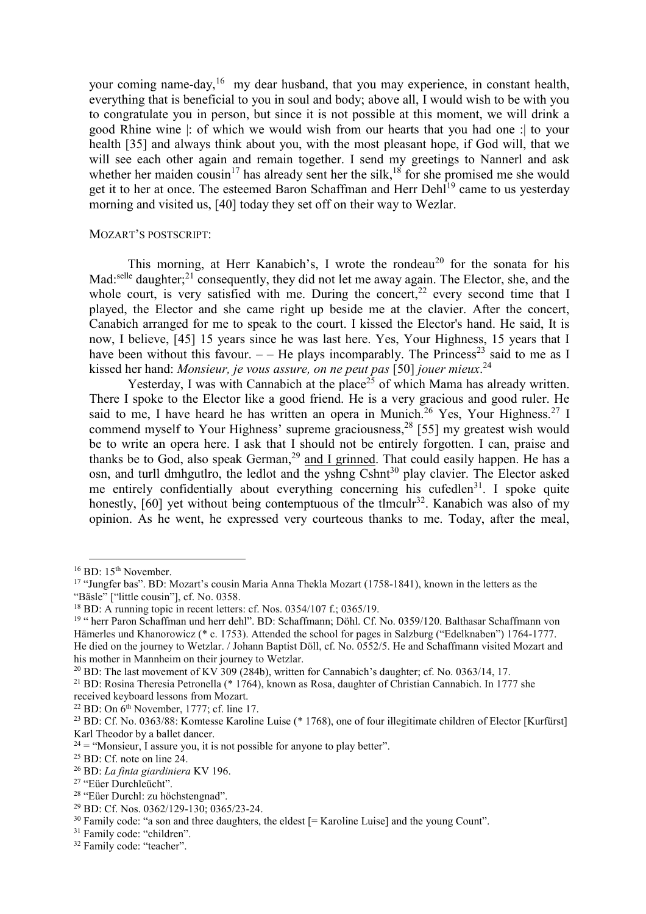your coming name-day,<sup>16</sup> my dear husband, that you may experience, in constant health, everything that is beneficial to you in soul and body; above all, I would wish to be with you to congratulate you in person, but since it is not possible at this moment, we will drink a good Rhine wine |: of which we would wish from our hearts that you had one :| to your health [35] and always think about you, with the most pleasant hope, if God will, that we will see each other again and remain together. I send my greetings to Nannerl and ask whether her maiden cousin<sup>17</sup> has already sent her the silk,<sup>18</sup> for she promised me she would get it to her at once. The esteemed Baron Schaffman and Herr Dehl<sup>19</sup> came to us yesterday morning and visited us, [40] today they set off on their way to Wezlar.

## MOZART'S POSTSCRIPT:

This morning, at Herr Kanabich's, I wrote the rondeau<sup>20</sup> for the sonata for his Mad:<sup>selle</sup> daughter;<sup>21</sup> consequently, they did not let me away again. The Elector, she, and the whole court, is very satisfied with me. During the concert,<sup>22</sup> every second time that I played, the Elector and she came right up beside me at the clavier. After the concert, Canabich arranged for me to speak to the court. I kissed the Elector's hand. He said, It is now, I believe, [45] 15 years since he was last here. Yes, Your Highness, 15 years that I have been without this favour.  $-$  He plays incomparably. The Princess<sup>23</sup> said to me as I kissed her hand: *Monsieur, je vous assure, on ne peut pas* [50] *jouer mieux*. 24

Yesterday, I was with Cannabich at the place<sup>25</sup> of which Mama has already written. There I spoke to the Elector like a good friend. He is a very gracious and good ruler. He said to me, I have heard he has written an opera in Munich.<sup>26</sup> Yes, Your Highness.<sup>27</sup> I commend myself to Your Highness' supreme graciousness,  $28$  [55] my greatest wish would be to write an opera here. I ask that I should not be entirely forgotten. I can, praise and thanks be to God, also speak German,<sup>29</sup> and I grinned. That could easily happen. He has a osn, and turll dmhgutlro, the ledlot and the yshng Cshnt<sup>30</sup> play clavier. The Elector asked me entirely confidentially about everything concerning his cufedlen<sup>31</sup>. I spoke quite honestly,  $[60]$  yet without being contemptuous of the tlmculr<sup>32</sup>. Kanabich was also of my opinion. As he went, he expressed very courteous thanks to me. Today, after the meal,

 $\overline{a}$ 

<sup>&</sup>lt;sup>16</sup> BD: 15<sup>th</sup> November.

<sup>&</sup>lt;sup>17</sup> "Jungfer bas". BD: Mozart's cousin Maria Anna Thekla Mozart (1758-1841), known in the letters as the "Bäsle" ["little cousin"], cf. No. 0358.

 $18$  BD: A running topic in recent letters: cf. Nos. 0354/107 f.; 0365/19.

<sup>19</sup> " herr Paron Schaffman und herr dehl". BD: Schaffmann; Döhl. Cf. No. 0359/120. Balthasar Schaffmann von Hämerles und Khanorowicz (\* c. 1753). Attended the school for pages in Salzburg ("Edelknaben") 1764-1777. He died on the journey to Wetzlar. / Johann Baptist Döll, cf. No. 0552/5. He and Schaffmann visited Mozart and his mother in Mannheim on their journey to Wetzlar.

<sup>20</sup> BD: The last movement of KV 309 (284b), written for Cannabich's daughter; cf. No. 0363/14, 17.

<sup>21</sup> BD: Rosina Theresia Petronella (\* 1764), known as Rosa, daughter of Christian Cannabich. In 1777 she received keyboard lessons from Mozart.

 $22$  BD: On  $6<sup>th</sup>$  November, 1777; cf. line 17.

<sup>&</sup>lt;sup>23</sup> BD: Cf. No. 0363/88: Komtesse Karoline Luise (\* 1768), one of four illegitimate children of Elector [Kurfürst] Karl Theodor by a ballet dancer.

 $24 =$  "Monsieur, I assure you, it is not possible for anyone to play better".

<sup>&</sup>lt;sup>25</sup> BD: Cf. note on line 24.

<sup>26</sup> BD: *La finta giardiniera* KV 196.

<sup>27</sup> "Eüer Durchleücht".

<sup>28</sup> "Eüer Durchl: zu höchstengnad".

<sup>29</sup> BD: Cf. Nos. 0362/129-130; 0365/23-24.

 $30$  Family code: "a son and three daughters, the eldest  $[=$  Karoline Luise] and the young Count".

<sup>&</sup>lt;sup>31</sup> Family code: "children".

<sup>&</sup>lt;sup>32</sup> Family code: "teacher".